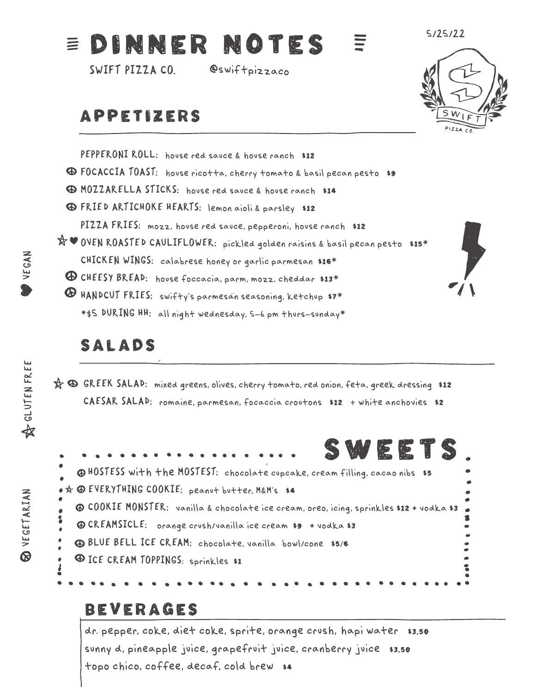#### DINNER NOTES 三

**SWIFT PIZZA CO. @swiftpizzaco**

## APPETIZERS



**5/25/22**

**PEPPERONI ROLL: house red sauce & house ranch** \$12 **FOCACCIA TOAST: house ricotta, cherry tomato & basil pecan pesto** \$9 **MOZZARELLA STICKS: house red sauce & house ranch** \$14 **FRIED ARTICHOKE HEARTS: lemon aioli & parsley** \$12 **PIZZA FRIES: mozz, house red sauce, pepperoni, house ranch** \$12 **OVEN ROASTED CAULIFLOWER: pickled golden raisins & basil pecan pesto** \$15\* **CHICKEN WINGS: calabrese honey or garlic parmesan** \$16\* **CHEESY BREAD: house foccacia, parm, mozz, cheddar** \$13\* **HANDCUT FRIES: swifty's parmesan seasoning, ketchup** \$7\* \***\$5 DURING HH: all night wednesday, 5-6 pm thurs-sunday**\*

## SALADS

**GREEK SALAD: mixed greens, olives, cherry tomato, red onion, feta, greek dressing** \$12 **CAESAR SALAD: romaine, parmesan, focaccia croutons** \$12 **+ white anchovies** \$2



### BEVERAGES

**dr. pepper, coke, diet coke, sprite, orange crush, hapi water** \$3.50 **sunny d, pineapple juice, grapefruit juice, cranberry juice** \$3.50 **topo chico, coffee, decaf, cold brew** \$4